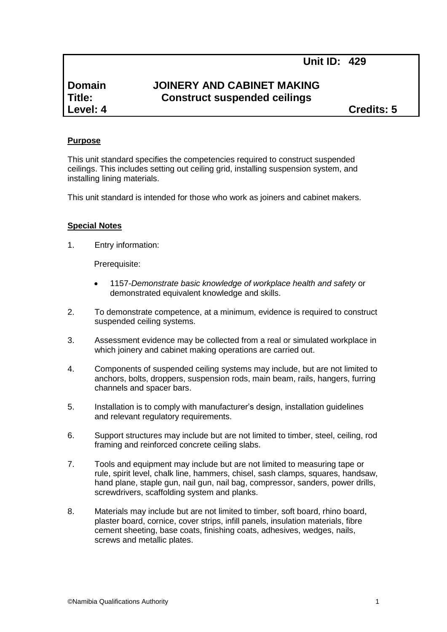# **Unit ID: 429**

# **Domain JOINERY AND CABINET MAKING Title: Construct suspended ceilings**

**Level: 4 Credits: 5**

#### **Purpose**

This unit standard specifies the competencies required to construct suspended ceilings. This includes setting out ceiling grid, installing suspension system, and installing lining materials.

This unit standard is intended for those who work as joiners and cabinet makers.

#### **Special Notes**

1. Entry information:

Prerequisite:

- 1157*-Demonstrate basic knowledge of workplace health and safety* or demonstrated equivalent knowledge and skills.
- 2. To demonstrate competence, at a minimum, evidence is required to construct suspended ceiling systems.
- 3. Assessment evidence may be collected from a real or simulated workplace in which joinery and cabinet making operations are carried out.
- 4. Components of suspended ceiling systems may include, but are not limited to anchors, bolts, droppers, suspension rods, main beam, rails, hangers, furring channels and spacer bars.
- 5. Installation is to comply with manufacturer's design, installation guidelines and relevant regulatory requirements.
- 6. Support structures may include but are not limited to timber, steel, ceiling, rod framing and reinforced concrete ceiling slabs.
- 7. Tools and equipment may include but are not limited to measuring tape or rule, spirit level, chalk line, hammers, chisel, sash clamps, squares, handsaw, hand plane, staple gun, nail gun, nail bag, compressor, sanders, power drills, screwdrivers, scaffolding system and planks.
- 8. Materials may include but are not limited to timber, soft board, rhino board, plaster board, cornice, cover strips, infill panels, insulation materials, fibre cement sheeting, base coats, finishing coats, adhesives, wedges, nails, screws and metallic plates.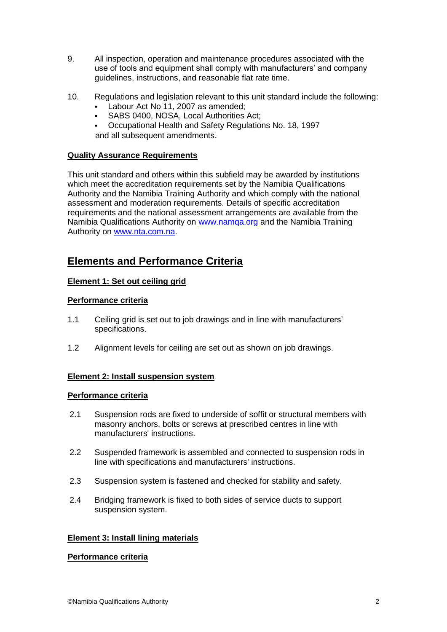- 9. All inspection, operation and maintenance procedures associated with the use of tools and equipment shall comply with manufacturers' and company guidelines, instructions, and reasonable flat rate time.
- 10. Regulations and legislation relevant to this unit standard include the following:
	- Labour Act No 11, 2007 as amended;
	- SABS 0400, NOSA, Local Authorities Act;
	- Occupational Health and Safety Regulations No. 18, 1997 and all subsequent amendments.

## **Quality Assurance Requirements**

This unit standard and others within this subfield may be awarded by institutions which meet the accreditation requirements set by the Namibia Qualifications Authority and the Namibia Training Authority and which comply with the national assessment and moderation requirements. Details of specific accreditation requirements and the national assessment arrangements are available from the Namibia Qualifications Authority on [www.namqa.org](http://www.namqa.org/) and the Namibia Training Authority on [www.nta.com.na.](http://www.nta.com.na/)

# **Elements and Performance Criteria**

# **Element 1: Set out ceiling grid**

## **Performance criteria**

- 1.1 Ceiling grid is set out to job drawings and in line with manufacturers' specifications.
- 1.2 Alignment levels for ceiling are set out as shown on job drawings.

## **Element 2: Install suspension system**

## **Performance criteria**

- 2.1 Suspension rods are fixed to underside of soffit or structural members with masonry anchors, bolts or screws at prescribed centres in line with manufacturers' instructions.
- 2.2 Suspended framework is assembled and connected to suspension rods in line with specifications and manufacturers' instructions.
- 2.3 Suspension system is fastened and checked for stability and safety.
- 2.4 Bridging framework is fixed to both sides of service ducts to support suspension system.

## **Element 3: Install lining materials**

## **Performance criteria**